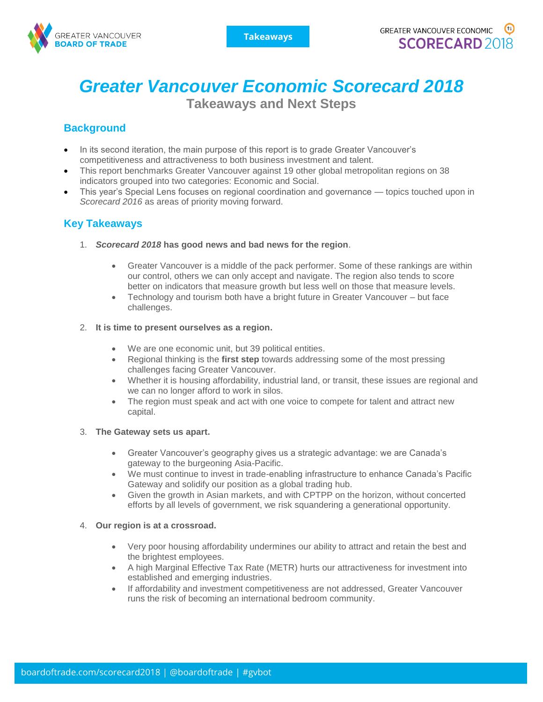

# *Greater Vancouver Economic Scorecard 2018*

**Takeaways and Next Steps**

## **Background**

- In its second iteration, the main purpose of this report is to grade Greater Vancouver's competitiveness and attractiveness to both business investment and talent.
- This report benchmarks Greater Vancouver against 19 other global metropolitan regions on 38 indicators grouped into two categories: Economic and Social.
- This year's Special Lens focuses on regional coordination and governance topics touched upon in *Scorecard 2016* as areas of priority moving forward.

## **Key Takeaways**

- 1. *Scorecard 2018* **has good news and bad news for the region**.
	- Greater Vancouver is a middle of the pack performer. Some of these rankings are within our control, others we can only accept and navigate. The region also tends to score better on indicators that measure growth but less well on those that measure levels.
	- Technology and tourism both have a bright future in Greater Vancouver but face challenges.

#### 2. **It is time to present ourselves as a region.**

- We are one economic unit, but 39 political entities.
- Regional thinking is the **first step** towards addressing some of the most pressing challenges facing Greater Vancouver.
- Whether it is housing affordability, industrial land, or transit, these issues are regional and we can no longer afford to work in silos.
- The region must speak and act with one voice to compete for talent and attract new capital.

#### 3. **The Gateway sets us apart.**

- Greater Vancouver's geography gives us a strategic advantage: we are Canada's gateway to the burgeoning Asia-Pacific.
- We must continue to invest in trade-enabling infrastructure to enhance Canada's Pacific Gateway and solidify our position as a global trading hub.
- Given the growth in Asian markets, and with CPTPP on the horizon, without concerted efforts by all levels of government, we risk squandering a generational opportunity.

#### 4. **Our region is at a crossroad.**

- Very poor housing affordability undermines our ability to attract and retain the best and the brightest employees.
- A high Marginal Effective Tax Rate (METR) hurts our attractiveness for investment into established and emerging industries.
- If affordability and investment competitiveness are not addressed, Greater Vancouver runs the risk of becoming an international bedroom community.